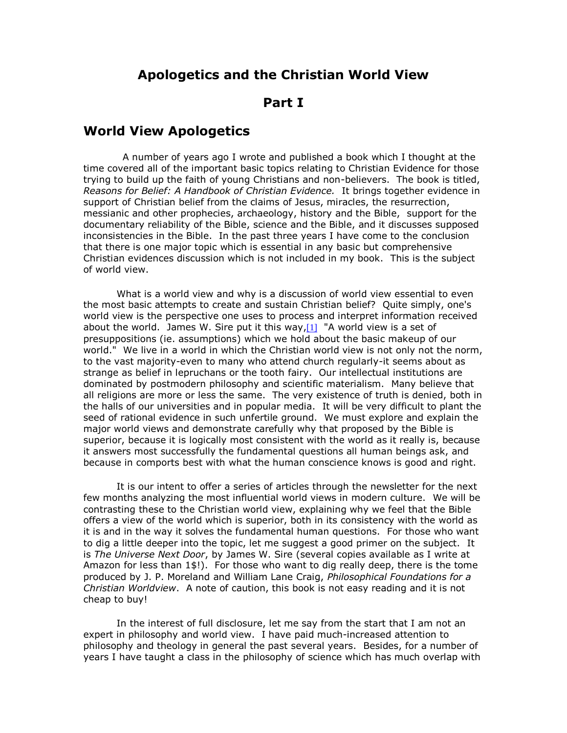### **Apologetics and the Christian World View**

### **Part I**

### **World View Apologetics**

 A number of years ago I wrote and published a book which I thought at the time covered all of the important basic topics relating to Christian Evidence for those trying to build up the faith of young Christians and non-believers. The book is titled, *Reasons for Belief: A Handbook of Christian Evidence.* It brings together evidence in support of Christian belief from the claims of Jesus, miracles, the resurrection, messianic and other prophecies, archaeology, history and the Bible, support for the documentary reliability of the Bible, science and the Bible, and it discusses supposed inconsistencies in the Bible. In the past three years I have come to the conclusion that there is one major topic which is essential in any basic but comprehensive Christian evidences discussion which is not included in my book. This is the subject of world view.

What is a world view and why is a discussion of world view essential to even the most basic attempts to create and sustain Christian belief? Quite simply, one's world view is the perspective one uses to process and interpret information received about the world. James W. Sire put it this way,  $[1]$  "A world view is a set of presuppositions (ie. assumptions) which we hold about the basic makeup of our world." We live in a world in which the Christian world view is not only not the norm, to the vast majority-even to many who attend church regularly-it seems about as strange as belief in lepruchans or the tooth fairy. Our intellectual institutions are dominated by postmodern philosophy and scientific materialism. Many believe that all religions are more or less the same. The very existence of truth is denied, both in the halls of our universities and in popular media. It will be very difficult to plant the seed of rational evidence in such unfertile ground. We must explore and explain the major world views and demonstrate carefully why that proposed by the Bible is superior, because it is logically most consistent with the world as it really is, because it answers most successfully the fundamental questions all human beings ask, and because in comports best with what the human conscience knows is good and right.

It is our intent to offer a series of articles through the newsletter for the next few months analyzing the most influential world views in modern culture. We will be contrasting these to the Christian world view, explaining why we feel that the Bible offers a view of the world which is superior, both in its consistency with the world as it is and in the way it solves the fundamental human questions. For those who want to dig a little deeper into the topic, let me suggest a good primer on the subject. It is *The Universe Next Door*, by James W. Sire (several copies available as I write at Amazon for less than 1\$!). For those who want to dig really deep, there is the tome produced by J. P. Moreland and William Lane Craig, *Philosophical Foundations for a Christian Worldview*. A note of caution, this book is not easy reading and it is not cheap to buy!

In the interest of full disclosure, let me say from the start that I am not an expert in philosophy and world view. I have paid much-increased attention to philosophy and theology in general the past several years. Besides, for a number of years I have taught a class in the philosophy of science which has much overlap with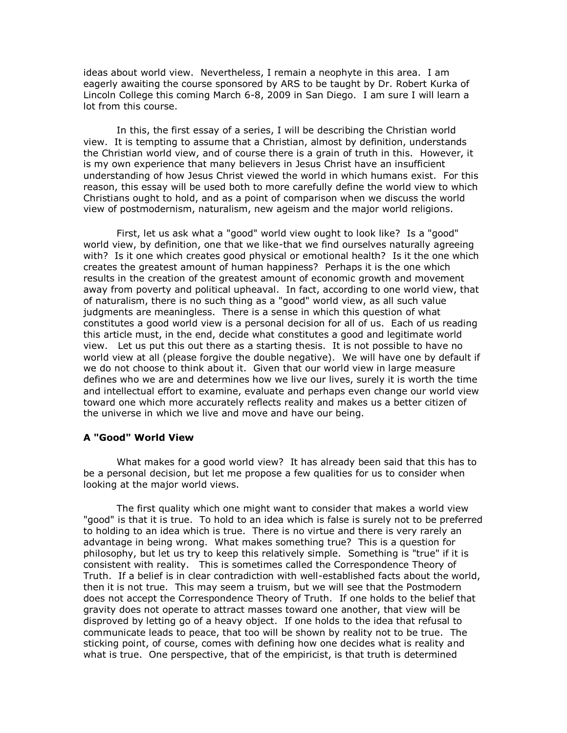ideas about world view. Nevertheless, I remain a neophyte in this area. I am eagerly awaiting the course sponsored by ARS to be taught by Dr. Robert Kurka of Lincoln College this coming March 6-8, 2009 in San Diego. I am sure I will learn a lot from this course.

In this, the first essay of a series, I will be describing the Christian world view. It is tempting to assume that a Christian, almost by definition, understands the Christian world view, and of course there is a grain of truth in this. However, it is my own experience that many believers in Jesus Christ have an insufficient understanding of how Jesus Christ viewed the world in which humans exist. For this reason, this essay will be used both to more carefully define the world view to which Christians ought to hold, and as a point of comparison when we discuss the world view of postmodernism, naturalism, new ageism and the major world religions.

First, let us ask what a "good" world view ought to look like? Is a "good" world view, by definition, one that we like-that we find ourselves naturally agreeing with? Is it one which creates good physical or emotional health? Is it the one which creates the greatest amount of human happiness? Perhaps it is the one which results in the creation of the greatest amount of economic growth and movement away from poverty and political upheaval. In fact, according to one world view, that of naturalism, there is no such thing as a "good" world view, as all such value judgments are meaningless. There is a sense in which this question of what constitutes a good world view is a personal decision for all of us. Each of us reading this article must, in the end, decide what constitutes a good and legitimate world view. Let us put this out there as a starting thesis. It is not possible to have no world view at all (please forgive the double negative). We will have one by default if we do not choose to think about it. Given that our world view in large measure defines who we are and determines how we live our lives, surely it is worth the time and intellectual effort to examine, evaluate and perhaps even change our world view toward one which more accurately reflects reality and makes us a better citizen of the universe in which we live and move and have our being.

#### **A "Good" World View**

What makes for a good world view? It has already been said that this has to be a personal decision, but let me propose a few qualities for us to consider when looking at the major world views.

The first quality which one might want to consider that makes a world view "good" is that it is true. To hold to an idea which is false is surely not to be preferred to holding to an idea which is true. There is no virtue and there is very rarely an advantage in being wrong. What makes something true? This is a question for philosophy, but let us try to keep this relatively simple. Something is "true" if it is consistent with reality. This is sometimes called the Correspondence Theory of Truth. If a belief is in clear contradiction with well-established facts about the world, then it is not true. This may seem a truism, but we will see that the Postmodern does not accept the Correspondence Theory of Truth. If one holds to the belief that gravity does not operate to attract masses toward one another, that view will be disproved by letting go of a heavy object. If one holds to the idea that refusal to communicate leads to peace, that too will be shown by reality not to be true. The sticking point, of course, comes with defining how one decides what is reality and what is true. One perspective, that of the empiricist, is that truth is determined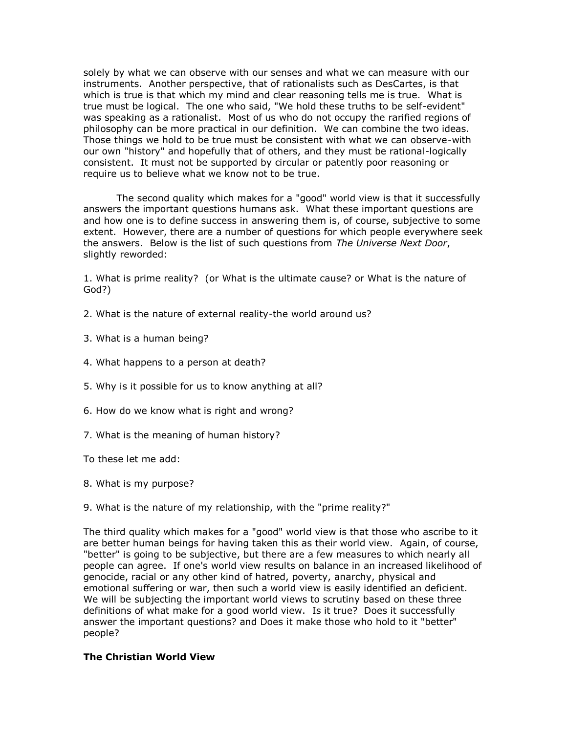solely by what we can observe with our senses and what we can measure with our instruments. Another perspective, that of rationalists such as DesCartes, is that which is true is that which my mind and clear reasoning tells me is true. What is true must be logical. The one who said, "We hold these truths to be self-evident" was speaking as a rationalist. Most of us who do not occupy the rarified regions of philosophy can be more practical in our definition. We can combine the two ideas. Those things we hold to be true must be consistent with what we can observe-with our own "history" and hopefully that of others, and they must be rational-logically consistent. It must not be supported by circular or patently poor reasoning or require us to believe what we know not to be true.

The second quality which makes for a "good" world view is that it successfully answers the important questions humans ask. What these important questions are and how one is to define success in answering them is, of course, subjective to some extent. However, there are a number of questions for which people everywhere seek the answers. Below is the list of such questions from *The Universe Next Door*, slightly reworded:

1. What is prime reality? (or What is the ultimate cause? or What is the nature of God?)

- 2. What is the nature of external reality-the world around us?
- 3. What is a human being?
- 4. What happens to a person at death?
- 5. Why is it possible for us to know anything at all?
- 6. How do we know what is right and wrong?
- 7. What is the meaning of human history?

To these let me add:

- 8. What is my purpose?
- 9. What is the nature of my relationship, with the "prime reality?"

The third quality which makes for a "good" world view is that those who ascribe to it are better human beings for having taken this as their world view. Again, of course, "better" is going to be subjective, but there are a few measures to which nearly all people can agree. If one's world view results on balance in an increased likelihood of genocide, racial or any other kind of hatred, poverty, anarchy, physical and emotional suffering or war, then such a world view is easily identified an deficient. We will be subjecting the important world views to scrutiny based on these three definitions of what make for a good world view. Is it true? Does it successfully answer the important questions? and Does it make those who hold to it "better" people?

#### **The Christian World View**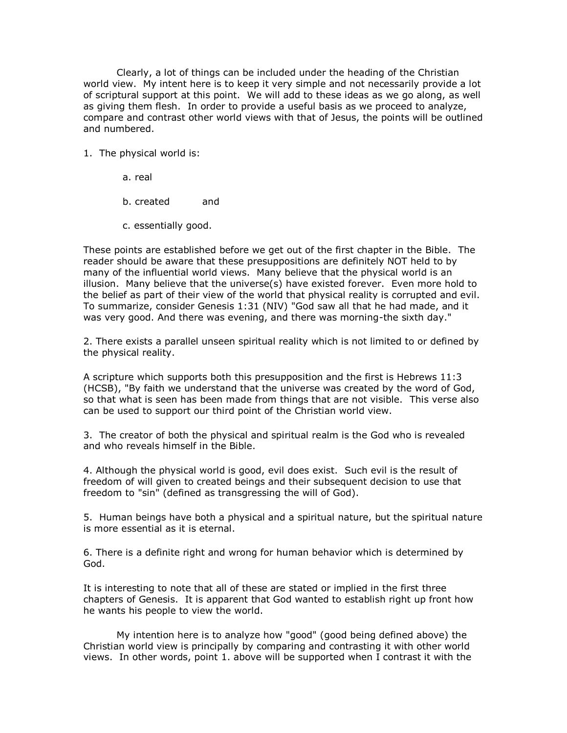Clearly, a lot of things can be included under the heading of the Christian world view. My intent here is to keep it very simple and not necessarily provide a lot of scriptural support at this point. We will add to these ideas as we go along, as well as giving them flesh. In order to provide a useful basis as we proceed to analyze, compare and contrast other world views with that of Jesus, the points will be outlined and numbered.

- 1. The physical world is:
	- a. real
	- b. created and
	- c. essentially good.

These points are established before we get out of the first chapter in the Bible. The reader should be aware that these presuppositions are definitely NOT held to by many of the influential world views. Many believe that the physical world is an illusion. Many believe that the universe(s) have existed forever. Even more hold to the belief as part of their view of the world that physical reality is corrupted and evil. To summarize, consider Genesis 1:31 (NIV) "God saw all that he had made, and it was very good. And there was evening, and there was morning-the sixth day."

2. There exists a parallel unseen spiritual reality which is not limited to or defined by the physical reality.

A scripture which supports both this presupposition and the first is Hebrews 11:3 (HCSB), "By faith we understand that the universe was created by the word of God, so that what is seen has been made from things that are not visible. This verse also can be used to support our third point of the Christian world view.

3. The creator of both the physical and spiritual realm is the God who is revealed and who reveals himself in the Bible.

4. Although the physical world is good, evil does exist. Such evil is the result of freedom of will given to created beings and their subsequent decision to use that freedom to "sin" (defined as transgressing the will of God).

5. Human beings have both a physical and a spiritual nature, but the spiritual nature is more essential as it is eternal.

6. There is a definite right and wrong for human behavior which is determined by God.

It is interesting to note that all of these are stated or implied in the first three chapters of Genesis. It is apparent that God wanted to establish right up front how he wants his people to view the world.

My intention here is to analyze how "good" (good being defined above) the Christian world view is principally by comparing and contrasting it with other world views. In other words, point 1. above will be supported when I contrast it with the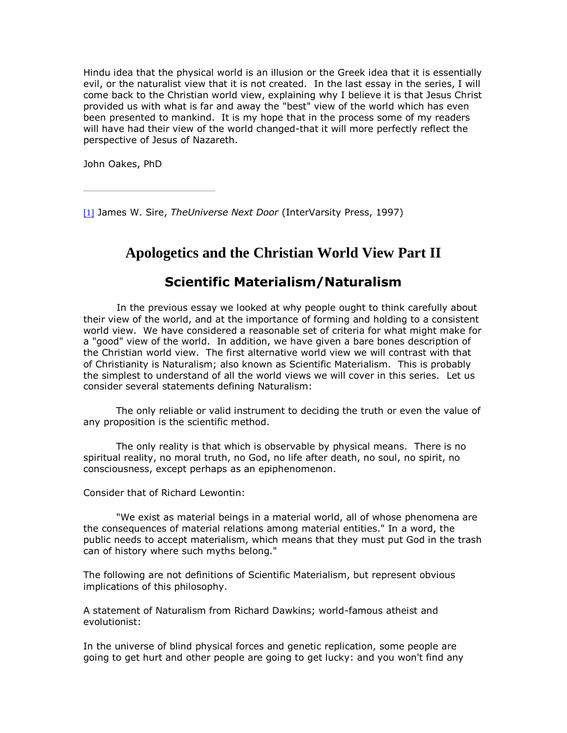Hindu idea that the physical world is an illusion or the Greek idea that it is essentially evil, or the naturalist view that it is not created. In the last essay in the series, I will come back to the Christian world view, explaining why I believe it is that Jesus Christ provided us with what is far and away the "best" view of the world which has even been presented to mankind. It is my hope that in the process some of my readers will have had their view of the world changed-that it will more perfectly reflect the perspective of Jesus of Nazareth.

John Oakes, PhD

[\[1\]](http://www.evidenceforchristianity.org/#_ftnref1) James W. Sire, *TheUniverse Next Door* (InterVarsity Press, 1997)

# **Apologetics and the Christian World View Part II**

## **Scientific Materialism/Naturalism**

In the previous essay we looked at why people ought to think carefully about their view of the world, and at the importance of forming and holding to a consistent world view. We have considered a reasonable set of criteria for what might make for a "good" view of the world. In addition, we have given a bare bones description of the Christian world view. The first alternative world view we will contrast with that of Christianity is Naturalism; also known as Scientific Materialism. This is probably the simplest to understand of all the world views we will cover in this series. Let us consider several statements defining Naturalism:

 The only reliable or valid instrument to deciding the truth or even the value of any proposition is the scientific method.

 The only reality is that which is observable by physical means. There is no spiritual reality, no moral truth, no God, no life after death, no soul, no spirit, no consciousness, except perhaps as an epiphenomenon.

Consider that of Richard Lewontin:

 "We exist as material beings in a material world, all of whose phenomena are the consequences of material relations among material entities." In a word, the public needs to accept materialism, which means that they must put God in the trash can of history where such myths belong."

The following are not definitions of Scientific Materialism, but represent obvious implications of this philosophy.

A statement of Naturalism from Richard Dawkins; world-famous atheist and evolutionist:

In the universe of blind physical forces and genetic replication, some people are going to get hurt and other people are going to get lucky: and you won't find any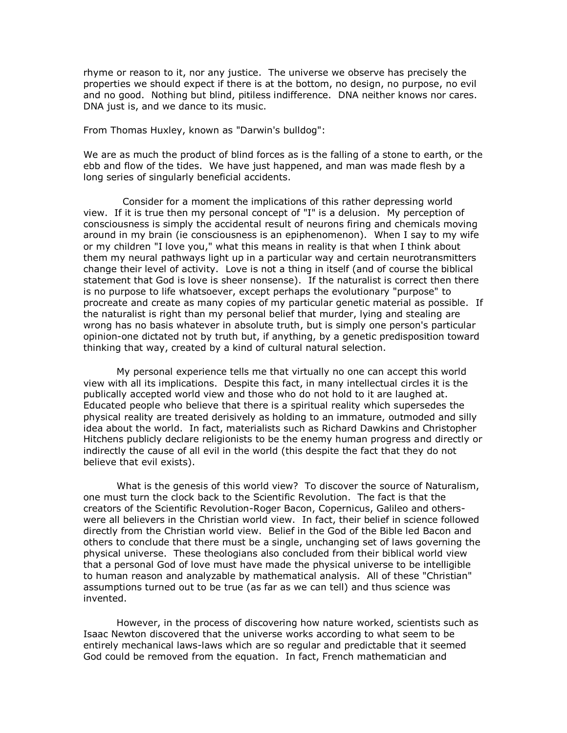rhyme or reason to it, nor any justice. The universe we observe has precisely the properties we should expect if there is at the bottom, no design, no purpose, no evil and no good. Nothing but blind, pitiless indifference. DNA neither knows nor cares. DNA just is, and we dance to its music.

From Thomas Huxley, known as "Darwin's bulldog":

We are as much the product of blind forces as is the falling of a stone to earth, or the ebb and flow of the tides. We have just happened, and man was made flesh by a long series of singularly beneficial accidents.

 Consider for a moment the implications of this rather depressing world view. If it is true then my personal concept of "I" is a delusion. My perception of consciousness is simply the accidental result of neurons firing and chemicals moving around in my brain (ie consciousness is an epiphenomenon). When I say to my wife or my children "I love you," what this means in reality is that when I think about them my neural pathways light up in a particular way and certain neurotransmitters change their level of activity. Love is not a thing in itself (and of course the biblical statement that God is love is sheer nonsense). If the naturalist is correct then there is no purpose to life whatsoever, except perhaps the evolutionary "purpose" to procreate and create as many copies of my particular genetic material as possible. If the naturalist is right than my personal belief that murder, lying and stealing are wrong has no basis whatever in absolute truth, but is simply one person's particular opinion-one dictated not by truth but, if anything, by a genetic predisposition toward thinking that way, created by a kind of cultural natural selection.

My personal experience tells me that virtually no one can accept this world view with all its implications. Despite this fact, in many intellectual circles it is the publically accepted world view and those who do not hold to it are laughed at. Educated people who believe that there is a spiritual reality which supersedes the physical reality are treated derisively as holding to an immature, outmoded and silly idea about the world. In fact, materialists such as Richard Dawkins and Christopher Hitchens publicly declare religionists to be the enemy human progress and directly or indirectly the cause of all evil in the world (this despite the fact that they do not believe that evil exists).

What is the genesis of this world view? To discover the source of Naturalism, one must turn the clock back to the Scientific Revolution. The fact is that the creators of the Scientific Revolution-Roger Bacon, Copernicus, Galileo and otherswere all believers in the Christian world view. In fact, their belief in science followed directly from the Christian world view. Belief in the God of the Bible led Bacon and others to conclude that there must be a single, unchanging set of laws governing the physical universe. These theologians also concluded from their biblical world view that a personal God of love must have made the physical universe to be intelligible to human reason and analyzable by mathematical analysis. All of these "Christian" assumptions turned out to be true (as far as we can tell) and thus science was invented.

However, in the process of discovering how nature worked, scientists such as Isaac Newton discovered that the universe works according to what seem to be entirely mechanical laws-laws which are so regular and predictable that it seemed God could be removed from the equation. In fact, French mathematician and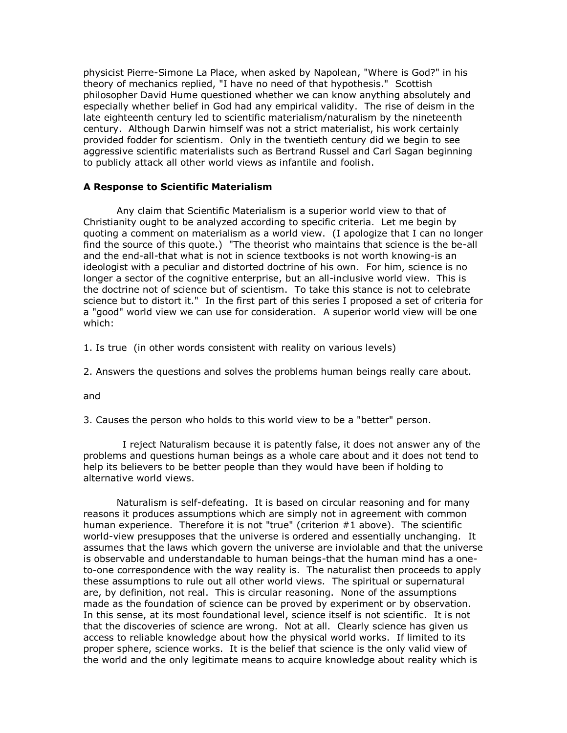physicist Pierre-Simone La Place, when asked by Napolean, "Where is God?" in his theory of mechanics replied, "I have no need of that hypothesis." Scottish philosopher David Hume questioned whether we can know anything absolutely and especially whether belief in God had any empirical validity. The rise of deism in the late eighteenth century led to scientific materialism/naturalism by the nineteenth century. Although Darwin himself was not a strict materialist, his work certainly provided fodder for scientism. Only in the twentieth century did we begin to see aggressive scientific materialists such as Bertrand Russel and Carl Sagan beginning to publicly attack all other world views as infantile and foolish.

#### **A Response to Scientific Materialism**

Any claim that Scientific Materialism is a superior world view to that of Christianity ought to be analyzed according to specific criteria. Let me begin by quoting a comment on materialism as a world view. (I apologize that I can no longer find the source of this quote.) "The theorist who maintains that science is the be-all and the end-all-that what is not in science textbooks is not worth knowing-is an ideologist with a peculiar and distorted doctrine of his own. For him, science is no longer a sector of the cognitive enterprise, but an all-inclusive world view. This is the doctrine not of science but of scientism. To take this stance is not to celebrate science but to distort it." In the first part of this series I proposed a set of criteria for a "good" world view we can use for consideration. A superior world view will be one which:

1. Is true (in other words consistent with reality on various levels)

2. Answers the questions and solves the problems human beings really care about.

and

3. Causes the person who holds to this world view to be a "better" person.

 I reject Naturalism because it is patently false, it does not answer any of the problems and questions human beings as a whole care about and it does not tend to help its believers to be better people than they would have been if holding to alternative world views.

Naturalism is self-defeating. It is based on circular reasoning and for many reasons it produces assumptions which are simply not in agreement with common human experience. Therefore it is not "true" (criterion #1 above). The scientific world-view presupposes that the universe is ordered and essentially unchanging. It assumes that the laws which govern the universe are inviolable and that the universe is observable and understandable to human beings-that the human mind has a oneto-one correspondence with the way reality is. The naturalist then proceeds to apply these assumptions to rule out all other world views. The spiritual or supernatural are, by definition, not real. This is circular reasoning. None of the assumptions made as the foundation of science can be proved by experiment or by observation. In this sense, at its most foundational level, science itself is not scientific. It is not that the discoveries of science are wrong. Not at all. Clearly science has given us access to reliable knowledge about how the physical world works. If limited to its proper sphere, science works. It is the belief that science is the only valid view of the world and the only legitimate means to acquire knowledge about reality which is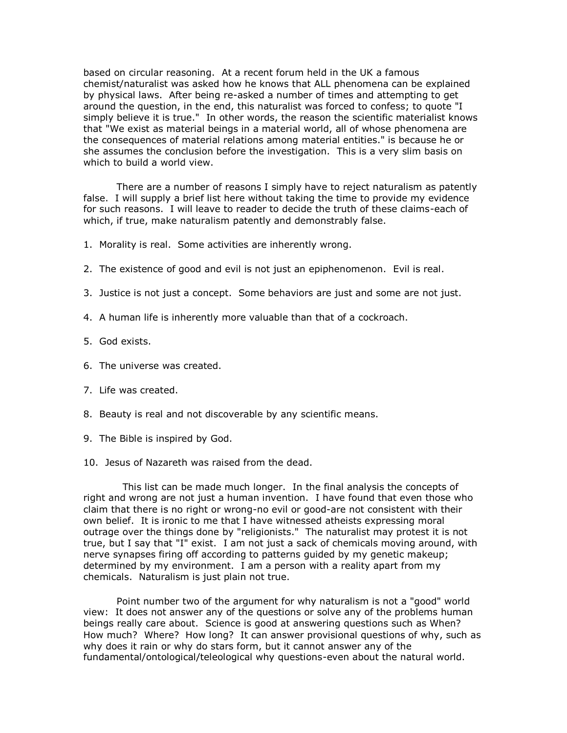based on circular reasoning. At a recent forum held in the UK a famous chemist/naturalist was asked how he knows that ALL phenomena can be explained by physical laws. After being re-asked a number of times and attempting to get around the question, in the end, this naturalist was forced to confess; to quote "I simply believe it is true." In other words, the reason the scientific materialist knows that "We exist as material beings in a material world, all of whose phenomena are the consequences of material relations among material entities." is because he or she assumes the conclusion before the investigation. This is a very slim basis on which to build a world view.

There are a number of reasons I simply have to reject naturalism as patently false. I will supply a brief list here without taking the time to provide my evidence for such reasons. I will leave to reader to decide the truth of these claims-each of which, if true, make naturalism patently and demonstrably false.

- 1. Morality is real. Some activities are inherently wrong.
- 2. The existence of good and evil is not just an epiphenomenon. Evil is real.
- 3. Justice is not just a concept. Some behaviors are just and some are not just.
- 4. A human life is inherently more valuable than that of a cockroach.
- 5. God exists.
- 6. The universe was created.
- 7. Life was created.
- 8. Beauty is real and not discoverable by any scientific means.
- 9. The Bible is inspired by God.
- 10. Jesus of Nazareth was raised from the dead.

 This list can be made much longer. In the final analysis the concepts of right and wrong are not just a human invention. I have found that even those who claim that there is no right or wrong-no evil or good-are not consistent with their own belief. It is ironic to me that I have witnessed atheists expressing moral outrage over the things done by "religionists." The naturalist may protest it is not true, but I say that "I" exist. I am not just a sack of chemicals moving around, with nerve synapses firing off according to patterns guided by my genetic makeup; determined by my environment. I am a person with a reality apart from my chemicals. Naturalism is just plain not true.

Point number two of the argument for why naturalism is not a "good" world view: It does not answer any of the questions or solve any of the problems human beings really care about. Science is good at answering questions such as When? How much? Where? How long? It can answer provisional questions of why, such as why does it rain or why do stars form, but it cannot answer any of the fundamental/ontological/teleological why questions-even about the natural world.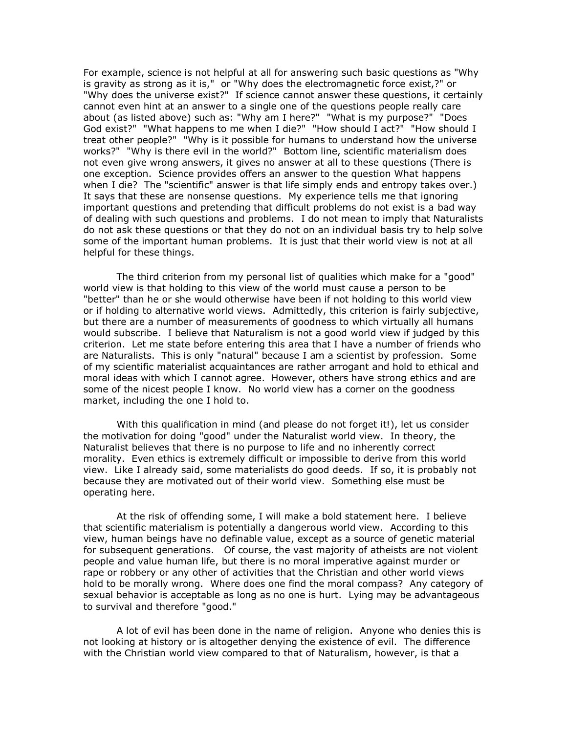For example, science is not helpful at all for answering such basic questions as "Why is gravity as strong as it is," or "Why does the electromagnetic force exist,?" or "Why does the universe exist?" If science cannot answer these questions, it certainly cannot even hint at an answer to a single one of the questions people really care about (as listed above) such as: "Why am I here?" "What is my purpose?" "Does God exist?" "What happens to me when I die?" "How should I act?" "How should I treat other people?" "Why is it possible for humans to understand how the universe works?" "Why is there evil in the world?" Bottom line, scientific materialism does not even give wrong answers, it gives no answer at all to these questions (There is one exception. Science provides offers an answer to the question What happens when I die? The "scientific" answer is that life simply ends and entropy takes over.) It says that these are nonsense questions. My experience tells me that ignoring important questions and pretending that difficult problems do not exist is a bad way of dealing with such questions and problems. I do not mean to imply that Naturalists do not ask these questions or that they do not on an individual basis try to help solve some of the important human problems. It is just that their world view is not at all helpful for these things.

The third criterion from my personal list of qualities which make for a "good" world view is that holding to this view of the world must cause a person to be "better" than he or she would otherwise have been if not holding to this world view or if holding to alternative world views. Admittedly, this criterion is fairly subjective, but there are a number of measurements of goodness to which virtually all humans would subscribe. I believe that Naturalism is not a good world view if judged by this criterion. Let me state before entering this area that I have a number of friends who are Naturalists. This is only "natural" because I am a scientist by profession. Some of my scientific materialist acquaintances are rather arrogant and hold to ethical and moral ideas with which I cannot agree. However, others have strong ethics and are some of the nicest people I know. No world view has a corner on the goodness market, including the one I hold to.

With this qualification in mind (and please do not forget it!), let us consider the motivation for doing "good" under the Naturalist world view. In theory, the Naturalist believes that there is no purpose to life and no inherently correct morality. Even ethics is extremely difficult or impossible to derive from this world view. Like I already said, some materialists do good deeds. If so, it is probably not because they are motivated out of their world view. Something else must be operating here.

At the risk of offending some, I will make a bold statement here. I believe that scientific materialism is potentially a dangerous world view. According to this view, human beings have no definable value, except as a source of genetic material for subsequent generations. Of course, the vast majority of atheists are not violent people and value human life, but there is no moral imperative against murder or rape or robbery or any other of activities that the Christian and other world views hold to be morally wrong. Where does one find the moral compass? Any category of sexual behavior is acceptable as long as no one is hurt. Lying may be advantageous to survival and therefore "good."

A lot of evil has been done in the name of religion. Anyone who denies this is not looking at history or is altogether denying the existence of evil. The difference with the Christian world view compared to that of Naturalism, however, is that a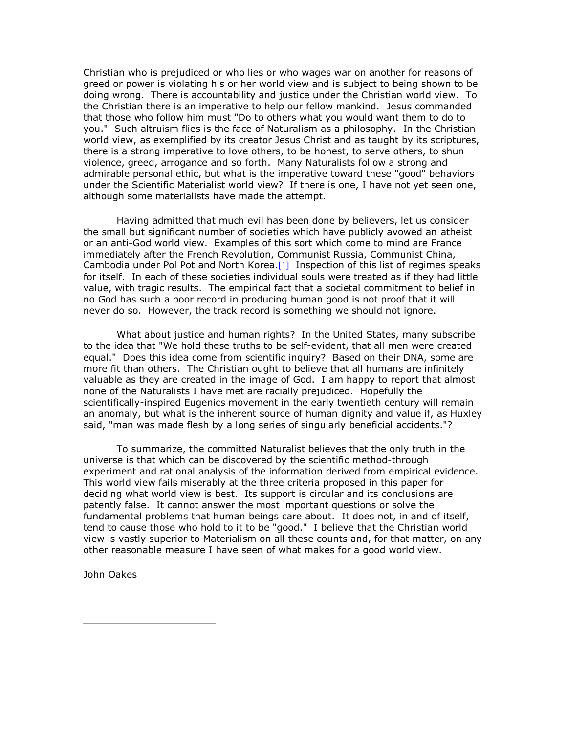Christian who is prejudiced or who lies or who wages war on another for reasons of greed or power is violating his or her world view and is subject to being shown to be doing wrong. There is accountability and justice under the Christian world view. To the Christian there is an imperative to help our fellow mankind. Jesus commanded that those who follow him must "Do to others what you would want them to do to you." Such altruism flies is the face of Naturalism as a philosophy. In the Christian world view, as exemplified by its creator Jesus Christ and as taught by its scriptures, there is a strong imperative to love others, to be honest, to serve others, to shun violence, greed, arrogance and so forth. Many Naturalists follow a strong and admirable personal ethic, but what is the imperative toward these "good" behaviors under the Scientific Materialist world view? If there is one, I have not yet seen one, although some materialists have made the attempt.

Having admitted that much evil has been done by believers, let us consider the small but significant number of societies which have publicly avowed an atheist or an anti-God world view. Examples of this sort which come to mind are France immediately after the French Revolution, Communist Russia, Communist China, Cambodia under Pol Pot and North Korea.[\[1\]](http://www.evidenceforchristianity.org/#_ftn1) Inspection of this list of regimes speaks for itself. In each of these societies individual souls were treated as if they had little value, with tragic results. The empirical fact that a societal commitment to belief in no God has such a poor record in producing human good is not proof that it will never do so. However, the track record is something we should not ignore.

What about justice and human rights? In the United States, many subscribe to the idea that "We hold these truths to be self-evident, that all men were created equal." Does this idea come from scientific inquiry? Based on their DNA, some are more fit than others. The Christian ought to believe that all humans are infinitely valuable as they are created in the image of God. I am happy to report that almost none of the Naturalists I have met are racially prejudiced. Hopefully the scientifically-inspired Eugenics movement in the early twentieth century will remain an anomaly, but what is the inherent source of human dignity and value if, as Huxley said, "man was made flesh by a long series of singularly beneficial accidents."?

To summarize, the committed Naturalist believes that the only truth in the universe is that which can be discovered by the scientific method-through experiment and rational analysis of the information derived from empirical evidence. This world view fails miserably at the three criteria proposed in this paper for deciding what world view is best. Its support is circular and its conclusions are patently false. It cannot answer the most important questions or solve the fundamental problems that human beings care about. It does not, in and of itself, tend to cause those who hold to it to be "good." I believe that the Christian world view is vastly superior to Materialism on all these counts and, for that matter, on any other reasonable measure I have seen of what makes for a good world view.

John Oakes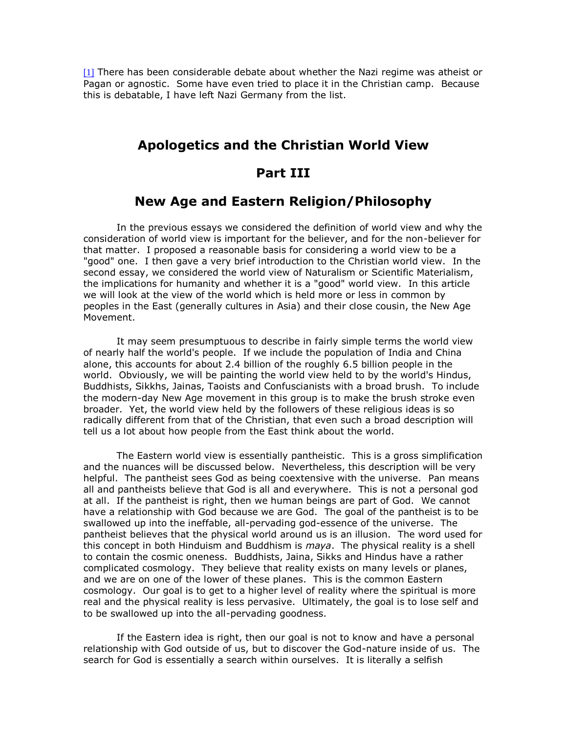[1] There has been considerable debate about whether the Nazi regime was atheist or [Pag](http://www.evidenceforchristianity.org/#_ftnref1)an or agnostic. Some have even tried to place it in the Christian camp. Because this is debatable, I have left Nazi Germany from the list.

### **Apologetics and the Christian World View**

### **Part III**

### **New Age and Eastern Religion/Philosophy**

In the previous essays we considered the definition of world view and why the consideration of world view is important for the believer, and for the non-believer for that matter. I proposed a reasonable basis for considering a world view to be a "good" one. I then gave a very brief introduction to the Christian world view. In the second essay, we considered the world view of Naturalism or Scientific Materialism, the implications for humanity and whether it is a "good" world view. In this article we will look at the view of the world which is held more or less in common by peoples in the East (generally cultures in Asia) and their close cousin, the New Age Movement.

It may seem presumptuous to describe in fairly simple terms the world view of nearly half the world's people. If we include the population of India and China alone, this accounts for about 2.4 billion of the roughly 6.5 billion people in the world. Obviously, we will be painting the world view held to by the world's Hindus, Buddhists, Sikkhs, Jainas, Taoists and Confuscianists with a broad brush. To include the modern-day New Age movement in this group is to make the brush stroke even broader. Yet, the world view held by the followers of these religious ideas is so radically different from that of the Christian, that even such a broad description will tell us a lot about how people from the East think about the world.

The Eastern world view is essentially pantheistic. This is a gross simplification and the nuances will be discussed below. Nevertheless, this description will be very helpful. The pantheist sees God as being coextensive with the universe. Pan means all and pantheists believe that God is all and everywhere. This is not a personal god at all. If the pantheist is right, then we human beings are part of God. We cannot have a relationship with God because we are God. The goal of the pantheist is to be swallowed up into the ineffable, all-pervading god-essence of the universe. The pantheist believes that the physical world around us is an illusion. The word used for this concept in both Hinduism and Buddhism is *maya*. The physical reality is a shell to contain the cosmic oneness. Buddhists, Jaina, Sikks and Hindus have a rather complicated cosmology. They believe that reality exists on many levels or planes, and we are on one of the lower of these planes. This is the common Eastern cosmology. Our goal is to get to a higher level of reality where the spiritual is more real and the physical reality is less pervasive. Ultimately, the goal is to lose self and to be swallowed up into the all-pervading goodness.

If the Eastern idea is right, then our goal is not to know and have a personal relationship with God outside of us, but to discover the God-nature inside of us. The search for God is essentially a search within ourselves. It is literally a selfish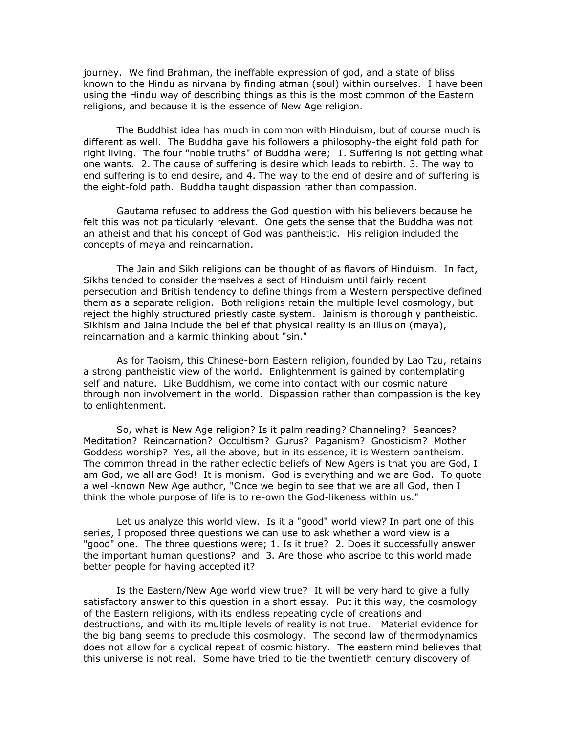journey. We find Brahman, the ineffable expression of god, and a state of bliss known to the Hindu as nirvana by finding atman (soul) within ourselves. I have been using the Hindu way of describing things as this is the most common of the Eastern religions, and because it is the essence of New Age religion.

The Buddhist idea has much in common with Hinduism, but of course much is different as well. The Buddha gave his followers a philosophy-the eight fold path for right living. The four "noble truths" of Buddha were; 1. Suffering is not getting what one wants. 2. The cause of suffering is desire which leads to rebirth. 3. The way to end suffering is to end desire, and 4. The way to the end of desire and of suffering is the eight-fold path. Buddha taught dispassion rather than compassion.

Gautama refused to address the God question with his believers because he felt this was not particularly relevant. One gets the sense that the Buddha was not an atheist and that his concept of God was pantheistic. His religion included the concepts of maya and reincarnation.

The Jain and Sikh religions can be thought of as flavors of Hinduism. In fact, Sikhs tended to consider themselves a sect of Hinduism until fairly recent persecution and British tendency to define things from a Western perspective defined them as a separate religion. Both religions retain the multiple level cosmology, but reject the highly structured priestly caste system. Jainism is thoroughly pantheistic. Sikhism and Jaina include the belief that physical reality is an illusion (maya), reincarnation and a karmic thinking about "sin."

As for Taoism, this Chinese-born Eastern religion, founded by Lao Tzu, retains a strong pantheistic view of the world. Enlightenment is gained by contemplating self and nature. Like Buddhism, we come into contact with our cosmic nature through non involvement in the world. Dispassion rather than compassion is the key to enlightenment.

So, what is New Age religion? Is it palm reading? Channeling? Seances? Meditation? Reincarnation? Occultism? Gurus? Paganism? Gnosticism? Mother Goddess worship? Yes, all the above, but in its essence, it is Western pantheism. The common thread in the rather eclectic beliefs of New Agers is that you are God, I am God, we all are God! It is monism. God is everything and we are God. To quote a well-known New Age author, "Once we begin to see that we are all God, then I think the whole purpose of life is to re-own the God-likeness within us."

Let us analyze this world view. Is it a "good" world view? In part one of this series, I proposed three questions we can use to ask whether a word view is a "good" one. The three questions were; 1. Is it true? 2. Does it successfully answer the important human questions? and 3. Are those who ascribe to this world made better people for having accepted it?

Is the Eastern/New Age world view true? It will be very hard to give a fully satisfactory answer to this question in a short essay. Put it this way, the cosmology of the Eastern religions, with its endless repeating cycle of creations and destructions, and with its multiple levels of reality is not true. Material evidence for the big bang seems to preclude this cosmology. The second law of thermodynamics does not allow for a cyclical repeat of cosmic history. The eastern mind believes that this universe is not real. Some have tried to tie the twentieth century discovery of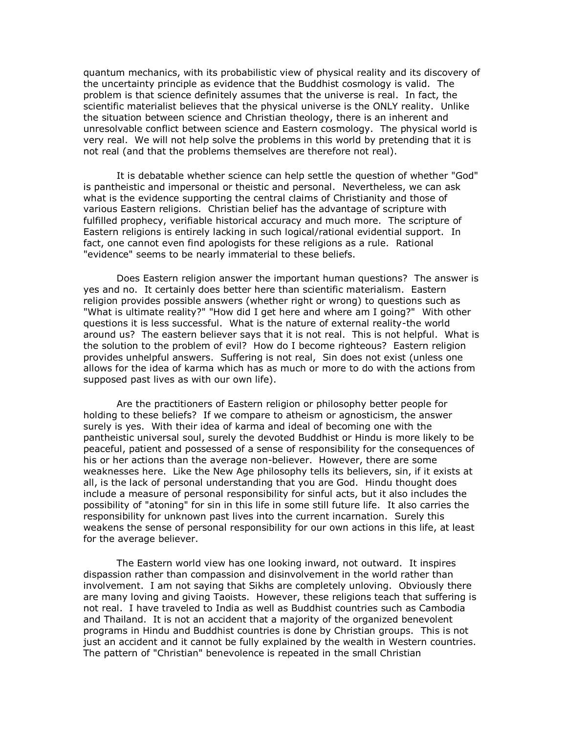quantum mechanics, with its probabilistic view of physical reality and its discovery of the uncertainty principle as evidence that the Buddhist cosmology is valid. The problem is that science definitely assumes that the universe is real. In fact, the scientific materialist believes that the physical universe is the ONLY reality. Unlike the situation between science and Christian theology, there is an inherent and unresolvable conflict between science and Eastern cosmology. The physical world is very real. We will not help solve the problems in this world by pretending that it is not real (and that the problems themselves are therefore not real).

It is debatable whether science can help settle the question of whether "God" is pantheistic and impersonal or theistic and personal. Nevertheless, we can ask what is the evidence supporting the central claims of Christianity and those of various Eastern religions. Christian belief has the advantage of scripture with fulfilled prophecy, verifiable historical accuracy and much more. The scripture of Eastern religions is entirely lacking in such logical/rational evidential support. In fact, one cannot even find apologists for these religions as a rule. Rational "evidence" seems to be nearly immaterial to these beliefs.

Does Eastern religion answer the important human questions? The answer is yes and no. It certainly does better here than scientific materialism. Eastern religion provides possible answers (whether right or wrong) to questions such as "What is ultimate reality?" "How did I get here and where am I going?" With other questions it is less successful. What is the nature of external reality-the world around us? The eastern believer says that it is not real. This is not helpful. What is the solution to the problem of evil? How do I become righteous? Eastern religion provides unhelpful answers. Suffering is not real, Sin does not exist (unless one allows for the idea of karma which has as much or more to do with the actions from supposed past lives as with our own life).

Are the practitioners of Eastern religion or philosophy better people for holding to these beliefs? If we compare to atheism or agnosticism, the answer surely is yes. With their idea of karma and ideal of becoming one with the pantheistic universal soul, surely the devoted Buddhist or Hindu is more likely to be peaceful, patient and possessed of a sense of responsibility for the consequences of his or her actions than the average non-believer. However, there are some weaknesses here. Like the New Age philosophy tells its believers, sin, if it exists at all, is the lack of personal understanding that you are God. Hindu thought does include a measure of personal responsibility for sinful acts, but it also includes the possibility of "atoning" for sin in this life in some still future life. It also carries the responsibility for unknown past lives into the current incarnation. Surely this weakens the sense of personal responsibility for our own actions in this life, at least for the average believer.

The Eastern world view has one looking inward, not outward. It inspires dispassion rather than compassion and disinvolvement in the world rather than involvement. I am not saying that Sikhs are completely unloving. Obviously there are many loving and giving Taoists. However, these religions teach that suffering is not real. I have traveled to India as well as Buddhist countries such as Cambodia and Thailand. It is not an accident that a majority of the organized benevolent programs in Hindu and Buddhist countries is done by Christian groups. This is not just an accident and it cannot be fully explained by the wealth in Western countries. The pattern of "Christian" benevolence is repeated in the small Christian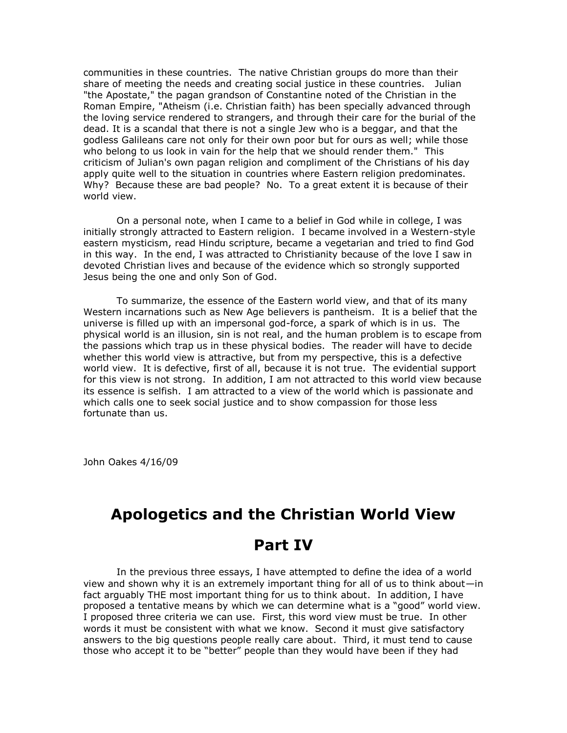communities in these countries. The native Christian groups do more than their share of meeting the needs and creating social justice in these countries. Julian "the Apostate," the pagan grandson of Constantine noted of the Christian in the Roman Empire, "Atheism (i.e. Christian faith) has been specially advanced through the loving service rendered to strangers, and through their care for the burial of the dead. It is a scandal that there is not a single Jew who is a beggar, and that the godless Galileans care not only for their own poor but for ours as well; while those who belong to us look in vain for the help that we should render them." This criticism of Julian's own pagan religion and compliment of the Christians of his day apply quite well to the situation in countries where Eastern religion predominates. Why? Because these are bad people? No. To a great extent it is because of their world view.

On a personal note, when I came to a belief in God while in college, I was initially strongly attracted to Eastern religion. I became involved in a Western-style eastern mysticism, read Hindu scripture, became a vegetarian and tried to find God in this way. In the end, I was attracted to Christianity because of the love I saw in devoted Christian lives and because of the evidence which so strongly supported Jesus being the one and only Son of God.

To summarize, the essence of the Eastern world view, and that of its many Western incarnations such as New Age believers is pantheism. It is a belief that the universe is filled up with an impersonal god-force, a spark of which is in us. The physical world is an illusion, sin is not real, and the human problem is to escape from the passions which trap us in these physical bodies. The reader will have to decide whether this world view is attractive, but from my perspective, this is a defective world view. It is defective, first of all, because it is not true. The evidential support for this view is not strong. In addition, I am not attracted to this world view because its essence is selfish. I am attracted to a view of the world which is passionate and which calls one to seek social justice and to show compassion for those less fortunate than us.

John Oakes 4/16/09

# **Apologetics and the Christian World View**

# **Part IV**

In the previous three essays, I have attempted to define the idea of a world view and shown why it is an extremely important thing for all of us to think about—in fact arguably THE most important thing for us to think about. In addition, I have proposed a tentative means by which we can determine what is a "good" world view. I proposed three criteria we can use. First, this word view must be true. In other words it must be consistent with what we know. Second it must give satisfactory answers to the big questions people really care about. Third, it must tend to cause those who accept it to be "better" people than they would have been if they had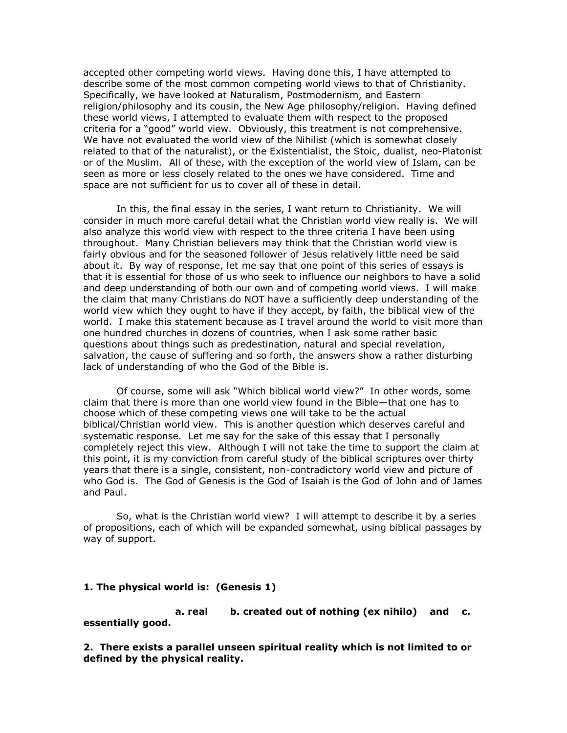accepted other competing world views. Having done this, I have attempted to describe some of the most common competing world views to that of Christianity. Specifically, we have looked at Naturalism, Postmodernism, and Eastern religion/philosophy and its cousin, the New Age philosophy/religion. Having defined these world views, I attempted to evaluate them with respect to the proposed criteria for a "good" world view. Obviously, this treatment is not comprehensive. We have not evaluated the world view of the Nihilist (which is somewhat closely related to that of the naturalist), or the Existentialist, the Stoic, dualist, neo-Platonist or of the Muslim. All of these, with the exception of the world view of Islam, can be seen as more or less closely related to the ones we have considered. Time and space are not sufficient for us to cover all of these in detail.

In this, the final essay in the series, I want return to Christianity. We will consider in much more careful detail what the Christian world view really is. We will also analyze this world view with respect to the three criteria I have been using throughout. Many Christian believers may think that the Christian world view is fairly obvious and for the seasoned follower of Jesus relatively little need be said about it. By way of response, let me say that one point of this series of essays is that it is essential for those of us who seek to influence our neighbors to have a solid and deep understanding of both our own and of competing world views. I will make the claim that many Christians do NOT have a sufficiently deep understanding of the world view which they ought to have if they accept, by faith, the biblical view of the world. I make this statement because as I travel around the world to visit more than one hundred churches in dozens of countries, when I ask some rather basic questions about things such as predestination, natural and special revelation, salvation, the cause of suffering and so forth, the answers show a rather disturbing lack of understanding of who the God of the Bible is.

Of course, some will ask "Which biblical world view?" In other words, some claim that there is more than one world view found in the Bible—that one has to choose which of these competing views one will take to be the actual biblical/Christian world view. This is another question which deserves careful and systematic response. Let me say for the sake of this essay that I personally completely reject this view. Although I will not take the time to support the claim at this point, it is my conviction from careful study of the biblical scriptures over thirty years that there is a single, consistent, non-contradictory world view and picture of who God is. The God of Genesis is the God of Isaiah is the God of John and of James and Paul.

So, what is the Christian world view? I will attempt to describe it by a series of propositions, each of which will be expanded somewhat, using biblical passages by way of support.

#### **1. The physical world is: (Genesis 1)**

 **a. real b. created out of nothing (ex nihilo) and c. essentially good.**

**2. There exists a parallel unseen spiritual reality which is not limited to or defined by the physical reality.**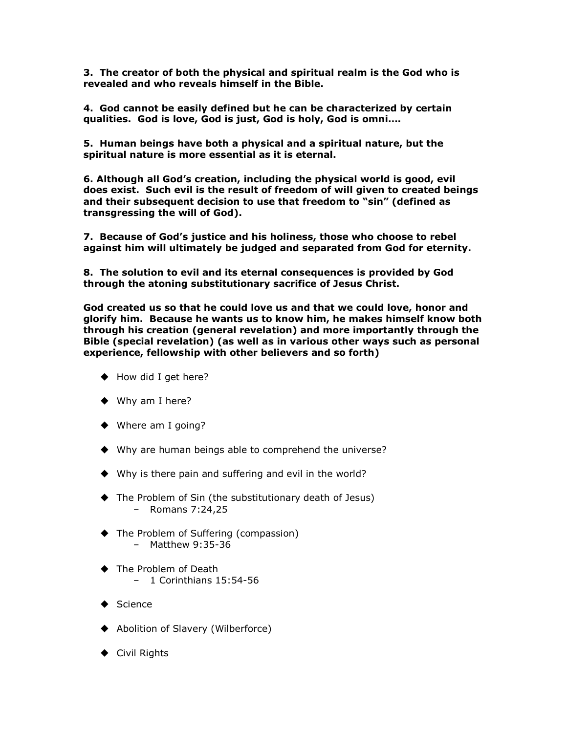**3. The creator of both the physical and spiritual realm is the God who is revealed and who reveals himself in the Bible.**

**4. God cannot be easily defined but he can be characterized by certain qualities. God is love, God is just, God is holy, God is omni….**

**5. Human beings have both a physical and a spiritual nature, but the spiritual nature is more essential as it is eternal.**

**6. Although all God's creation, including the physical world is good, evil does exist. Such evil is the result of freedom of will given to created beings and their subsequent decision to use that freedom to "sin" (defined as transgressing the will of God).**

**7. Because of God's justice and his holiness, those who choose to rebel against him will ultimately be judged and separated from God for eternity.**

**8. The solution to evil and its eternal consequences is provided by God through the atoning substitutionary sacrifice of Jesus Christ.**

**God created us so that he could love us and that we could love, honor and glorify him. Because he wants us to know him, he makes himself know both through his creation (general revelation) and more importantly through the Bible (special revelation) (as well as in various other ways such as personal experience, fellowship with other believers and so forth)**

- ◆ How did I get here?
- ◆ Why am I here?
- ◆ Where am I going?
- ◆ Why are human beings able to comprehend the universe?
- ◆ Why is there pain and suffering and evil in the world?
- The Problem of Sin (the substitutionary death of Jesus) – Romans 7:24,25
- ◆ The Problem of Suffering (compassion) – Matthew 9:35-36
- ◆ The Problem of Death – 1 Corinthians 15:54-56
- $\triangle$  Science
- ◆ Abolition of Slavery (Wilberforce)
- ◆ Civil Rights